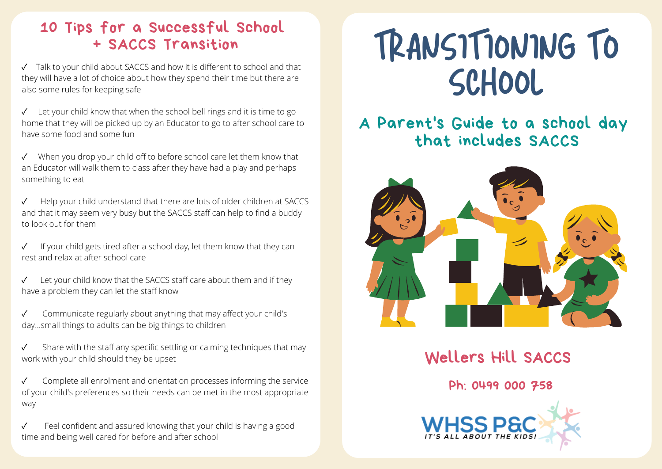#### 10 Tips for a Successful School + SACCS Transition

✓ Talk to your child about SACCS and how it is different to school and that they will have a lot of choice about how they spend their time but there are also some rules for keeping safe

Let your child know that when the school bell rings and it is time to go home that they will be picked up by an Educator to go to after school care to have some food and some fun

✓ When you drop your child off to before school care let them know that an Educator will walk them to class after they have had a play and perhaps something to eat

Help your child understand that there are lots of older children at SACCS and that it may seem very busy but the SACCS staff can help to find a buddy to look out for them

If your child gets tired after a school day, let them know that they can rest and relax at after school care

Let your child know that the SACCS staff care about them and if they have a problem they can let the staff know

Communicate regularly about anything that may affect your child's day...small things to adults can be big things to children

Share with the staff any specific settling or calming techniques that may work with your child should they be upset

✓ Complete all enrolment and orientation processes informing the service of your child's preferences so their needs can be met in the most appropriate way

Feel confident and assured knowing that your child is having a good time and being well cared for before and after school

# TRANSITIONING TO SCHOOL

## A Parent's Guide to a school day that includes SACCS



Wellers Hill SACCS

Ph: 0499 000 758